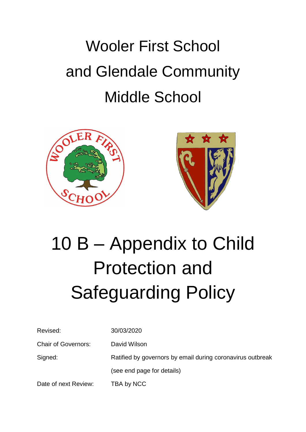# Wooler First School and Glendale Community Middle School





# 10 B – Appendix to Child Protection and Safeguarding Policy

| Revised:                   | 30/03/2020                                                 |
|----------------------------|------------------------------------------------------------|
| <b>Chair of Governors:</b> | David Wilson                                               |
| Signed:                    | Ratified by governors by email during coronavirus outbreak |
|                            | (see end page for details)                                 |
| Date of next Review:       | TBA by NCC                                                 |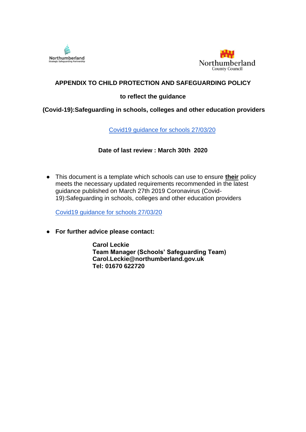



# **APPENDIX TO CHILD PROTECTION AND SAFEGUARDING POLICY**

# **to reflect the guidance**

#### **(Covid-19):Safeguarding in schools, colleges and other education providers**

[Covid19 guidance for schools 27/03/20](https://www.gov.uk/government/publications/covid-19-safeguarding-in-schools-colleges-and-other-providers/coronavirus-covid-19-safeguarding-in-schools-colleges-and-other-providers)

# **Date of last review : March 30th 2020**

● This document is a template which schools can use to ensure **their** policy meets the necessary updated requirements recommended in the latest guidance published on March 27th 2019 Coronavirus (Covid-19):Safeguarding in schools, colleges and other education providers

[Covid19 guidance for schools 27/03/20](http://briefing.safeguardinginschools.co.uk/lt.php?s=13e431f10cf5df95c35844af048adfe4&i=105A139A5A1265)

● **For further advice please contact:**

**Carol Leckie Team Manager (Schools' Safeguarding Team) Carol.Leckie@northumberland.gov.uk Tel: 01670 622720**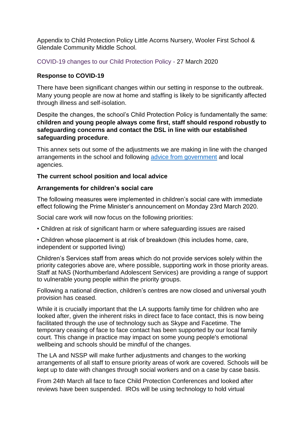Appendix to Child Protection Policy Little Acorns Nursery, Wooler First School & Glendale Community Middle School.

COVID-19 changes to our Child Protection Policy - 27 March 2020

#### **Response to COVID-19**

There have been significant changes within our setting in response to the outbreak. Many young people are now at home and staffing is likely to be significantly affected through illness and self-isolation.

Despite the changes, the school's Child Protection Policy is fundamentally the same: **children and young people always come first, staff should respond robustly to safeguarding concerns and contact the DSL in line with our established safeguarding procedure**.

This annex sets out some of the adjustments we are making in line with the changed arrangements in the school and following [advice from government](https://www.gov.uk/government/publications/covid-19-safeguarding-in-schools-colleges-and-other-providers/coronavirus-covid-19-safeguarding-in-schools-colleges-and-other-providers) and local agencies.

#### **The current school position and local advice**

#### **Arrangements for children's social care**

The following measures were implemented in children's social care with immediate effect following the Prime Minister's announcement on Monday 23rd March 2020.

Social care work will now focus on the following priorities:

• Children at risk of significant harm or where safeguarding issues are raised

• Children whose placement is at risk of breakdown (this includes home, care, independent or supported living)

Children's Services staff from areas which do not provide services solely within the priority categories above are, where possible, supporting work in those priority areas. Staff at NAS (Northumberland Adolescent Services) are providing a range of support to vulnerable young people within the priority groups.

Following a national direction, children's centres are now closed and universal youth provision has ceased.

While it is crucially important that the LA supports family time for children who are looked after, given the inherent risks in direct face to face contact, this is now being facilitated through the use of technology such as Skype and Facetime. The temporary ceasing of face to face contact has been supported by our local family court. This change in practice may impact on some young people's emotional wellbeing and schools should be mindful of the changes.

The LA and NSSP will make further adjustments and changes to the working arrangements of all staff to ensure priority areas of work are covered. Schools will be kept up to date with changes through social workers and on a case by case basis.

From 24th March all face to face Child Protection Conferences and looked after reviews have been suspended. IROs will be using technology to hold virtual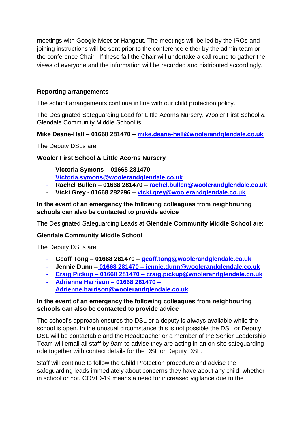meetings with Google Meet or Hangout. The meetings will be led by the IROs and joining instructions will be sent prior to the conference either by the admin team or the conference Chair. If these fail the Chair will undertake a call round to gather the views of everyone and the information will be recorded and distributed accordingly.

# **Reporting arrangements**

The school arrangements continue in line with our child protection policy.

The Designated Safeguarding Lead for Little Acorns Nursery, Wooler First School & Glendale Community Middle School is:

# **Mike Deane-Hall – 01668 281470 – [mike.deane-hall@woolerandglendale.co.uk](mailto:mike.deane-hall@woolerandglendale.co.uk)**

The Deputy DSLs are:

# **Wooler First School & Little Acorns Nursery**

- **Victoria Symons – 01668 281470 – [Victoria.symons@woolerandglendale.co.uk](mailto:Victoria.symons@woolerandglendale.co.uk)**
- **Rachel Bullen – 01668 281470 – [rachel.bullen@woolerandglendale.co.uk](mailto:rachel.bullen@woolerandglendale.co.uk)**
- **Vicki Grey - 01668 282296 – [vicki.grey@woolerandglendale.co.uk](mailto:vicki.grey@woolerandglendale.co.uk)**

#### **In the event of an emergency the following colleagues from neighbouring schools can also be contacted to provide advice**

The Designated Safeguarding Leads at **Glendale Community Middle School** are:

#### **Glendale Community Middle School**

The Deputy DSLs are:

- **Geoff Tong – 01668 281470 – [geoff.tong@woolerandglendale.co.uk](mailto:geoff.tong@woolerandglendale.co.uk)**
- **Jennie Dunn – 01668 281470 – [jennie.dunn@woolerandglendale.co.uk](mailto:jennie.dunn@woolerandglendale.co.uk)**
- **Craig Pickup – 01668 281470 – [craig.pickup@woolerandglendale.co.uk](mailto:craig.pickup@woolerandglendale.co.uk)**
- **Adrienne Harrison – 01668 281470 – [Adrienne.harrison@woolerandglendale.co.uk](mailto:Adrienne.harrison@woolerandglendale.co.uk)**

#### **In the event of an emergency the following colleagues from neighbouring schools can also be contacted to provide advice**

The school's approach ensures the DSL or a deputy is always available while the school is open. In the unusual circumstance this is not possible the DSL or Deputy DSL will be contactable and the Headteacher or a member of the Senior Leadership Team will email all staff by 9am to advise they are acting in an on-site safeguarding role together with contact details for the DSL or Deputy DSL.

Staff will continue to follow the Child Protection procedure and advise the safeguarding leads immediately about concerns they have about any child, whether in school or not. COVID-19 means a need for increased vigilance due to the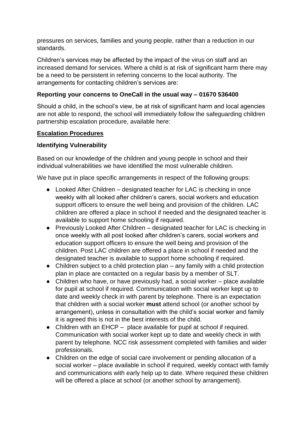pressures on services, families and young people, rather than a reduction in our standards.

Children's services may be affected by the impact of the virus on staff and an increased demand for services. Where a child is at risk of significant harm there may be a need to be persistent in referring concerns to the local authority. The arrangements for contacting children's services are:

# **Reporting your concerns to OneCall in the usual way – 01670 536400**

Should a child, in the school's view, be at risk of significant harm and local agencies are not able to respond, the school will immediately follow the safeguarding children partnership escalation procedure, available here:

# **[Escalation Procedures](https://www.proceduresonline.com/nesubregion/p_escalation.html)**

# **Identifying Vulnerability**

Based on our knowledge of the children and young people in school and their individual vulnerabilities we have identified the most vulnerable children.

We have put in place specific arrangements in respect of the following groups:

- Looked After Children designated teacher for LAC is checking in once weekly with all looked after children's carers, social workers and education support officers to ensure the well being and provision of the children. LAC children are offered a place in school if needed and the designated teacher is available to support home schooling if required.
- Previously Looked After Children designated teacher for LAC is checking in once weekly with all post looked after children's carers, social workers and education support officers to ensure the well being and provision of the children. Post LAC children are offered a place in school if needed and the designated teacher is available to support home schooling if required.
- Children subject to a child protection plan any family with a child protection plan in place are contacted on a regular basis by a member of SLT.
- Children who have, or have previously had, a social worker place available for pupil at school if required. Communication with social worker kept up to date and weekly check in with parent by telephone. There is an expectation that children with a social worker **must** attend school (or another school by arrangement), unless in consultation with the child's social worker and family it is agreed this is not in the best interests of the child.
- Children with an EHCP place available for pupil at school if required. Communication with social worker kept up to date and weekly check in with parent by telephone. NCC risk assessment completed with families and wider professionals.
- Children on the edge of social care involvement or pending allocation of a social worker – place available in school if required, weekly contact with family and communications with early help up to date. Where required these children will be offered a place at school (or another school by arrangement).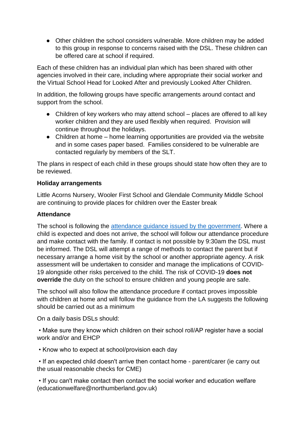• Other children the school considers vulnerable. More children may be added to this group in response to concerns raised with the DSL. These children can be offered care at school if required.

Each of these children has an individual plan which has been shared with other agencies involved in their care, including where appropriate their social worker and the Virtual School Head for Looked After and previously Looked After Children.

In addition, the following groups have specific arrangements around contact and support from the school.

- Children of key workers who may attend school places are offered to all key worker children and they are used flexibly when required. Provision will continue throughout the holidays.
- Children at home home learning opportunities are provided via the website and in some cases paper based. Families considered to be vulnerable are contacted regularly by members of the SLT.

The plans in respect of each child in these groups should state how often they are to be reviewed.

#### **Holiday arrangements**

Little Acorns Nursery, Wooler First School and Glendale Community Middle School are continuing to provide places for children over the Easter break

#### **Attendance**

The school is following the [attendance guidance issued by the government.](https://www.gov.uk/government/publications/coronavirus-covid-19-attendance-recording-for-educational-settings) Where a child is expected and does not arrive, the school will follow our attendance procedure and make contact with the family. If contact is not possible by 9:30am the DSL must be informed. The DSL will attempt a range of methods to contact the parent but if necessary arrange a home visit by the school or another appropriate agency. A risk assessment will be undertaken to consider and manage the implications of COVID-19 alongside other risks perceived to the child. The risk of COVID-19 **does not override** the duty on the school to ensure children and young people are safe.

The school will also follow the attendance procedure if contact proves impossible with children at home and will follow the guidance from the LA suggests the following should be carried out as a minimum

On a daily basis DSLs should:

• Make sure they know which children on their school roll/AP register have a social work and/or and EHCP

• Know who to expect at school/provision each day

• If an expected child doesn't arrive then contact home - parent/carer (ie carry out the usual reasonable checks for CME)

• If you can't make contact then contact the social worker and education welfare (educationwelfare@northumberland.gov.uk)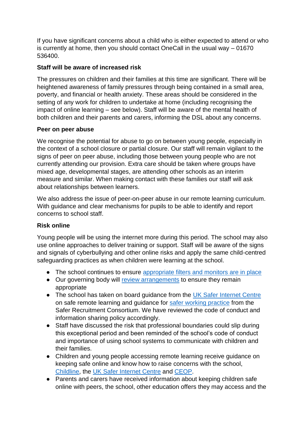If you have significant concerns about a child who is either expected to attend or who is currently at home, then you should contact OneCall in the usual way – 01670 536400.

# **Staff will be aware of increased risk**

The pressures on children and their families at this time are significant. There will be heightened awareness of family pressures through being contained in a small area, poverty, and financial or health anxiety. These areas should be considered in the setting of any work for children to undertake at home (including recognising the impact of online learning – see below). Staff will be aware of the mental health of both children and their parents and carers, informing the DSL about any concerns.

# **Peer on peer abuse**

We recognise the potential for abuse to go on between young people, especially in the context of a school closure or partial closure. Our staff will remain vigilant to the signs of peer on peer abuse, including those between young people who are not currently attending our provision. Extra care should be taken where groups have mixed age, developmental stages, are attending other schools as an interim measure and similar. When making contact with these families our staff will ask about relationships between learners.

We also address the issue of peer-on-peer abuse in our remote learning curriculum. With guidance and clear mechanisms for pupils to be able to identify and report concerns to school staff.

# **Risk online**

Young people will be using the internet more during this period. The school may also use online approaches to deliver training or support. Staff will be aware of the signs and signals of cyberbullying and other online risks and apply the same child-centred safeguarding practices as when children were learning at the school.

- The school continues to ensure [appropriate filters and monitors are in place](https://www.saferinternet.org.uk/advice-centre/teachers-and-school-staff/appropriate-filtering-and-monitoring)
- Our governing body will [review arrangements](https://www.gov.uk/government/publications/online-safety-in-schools-and-colleges-questions-from-the-governing-board) to ensure they remain appropriate
- The school has taken on board guidance from the [UK Safer Internet Centre](https://swgfl.org.uk/resources/safe-remote-learning/) on safe remote learning and guidance for [safer working practice](https://www.saferrecruitmentconsortium.org/GSWP%20Sept%202019.pdf) from the Safer Recruitment Consortium. We have reviewed the code of conduct and information sharing policy accordingly.
- Staff have discussed the risk that professional boundaries could slip during this exceptional period and been reminded of the school's code of conduct and importance of using school systems to communicate with children and their families.
- Children and young people accessing remote learning receive guidance on keeping safe online and know how to raise concerns with the school, [Childline,](https://www.childline.org.uk/?utm_source=google&utm_medium=cpc&utm_campaign=UK_GO_S_B_BND_Grant_Childline_Information&utm_term=role_of_childline&gclsrc=aw.ds&&gclid=EAIaIQobChMIlfLRh-ez6AIVRrDtCh1N9QR2EAAYASAAEgLc-vD_BwE&gclsrc=aw.ds) the [UK Safer Internet Centre](https://reportharmfulcontent.com/) and [CEOP.](https://www.ceop.police.uk/safety-centre/)
- Parents and carers have received information about keeping children safe online with peers, the school, other education offers they may access and the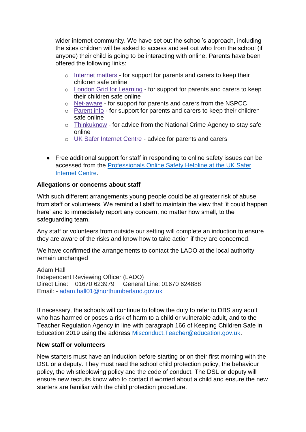wider internet community. We have set out the school's approach, including the sites children will be asked to access and set out who from the school (if anyone) their child is going to be interacting with online. Parents have been offered the following links:

- o [Internet matters](https://www.internetmatters.org/?gclid=EAIaIQobChMIktuA5LWK2wIVRYXVCh2afg2aEAAYASAAEgIJ5vD_BwE) for support for parents and carers to keep their children safe online
- o [London Grid for Learning](http://www.lgfl.net/online-safety/) for support for parents and carers to keep their children safe online
- o [Net-aware](https://www.net-aware.org.uk/) for support for parents and carers from the NSPCC
- o [Parent info](https://parentinfo.org/) for support for parents and carers to keep their children safe online
- o [Thinkuknow](http://www.thinkuknow.co.uk/) for advice from the National Crime Agency to stay safe online
- o [UK Safer Internet Centre](https://www.saferinternet.org.uk/advice-centre/parents-and-carers) advice for parents and carers
- Free additional support for staff in responding to online safety issues can be accessed from the [Professionals Online Safety Helpline at the UK Safer](https://www.saferinternet.org.uk/helpline/professionals-online-safety-helpline)  [Internet Centre.](https://www.saferinternet.org.uk/helpline/professionals-online-safety-helpline)

# **Allegations or concerns about staff**

With such different arrangements young people could be at greater risk of abuse from staff or volunteers. We remind all staff to maintain the view that 'it could happen here' and to immediately report any concern, no matter how small, to the safeguarding team.

Any staff or volunteers from outside our setting will complete an induction to ensure they are aware of the risks and know how to take action if they are concerned.

We have confirmed the arrangements to contact the LADO at the local authority remain unchanged

Adam Hall Independent Reviewing Officer (LADO) Direct Line: 01670 623979 General Line: 01670 624888 Email: [-](http://adam.hall01@northumberland.gov.uk/) [adam.hall01@northumberland.gov.uk](http://adam.hall01@northumberland.gov.uk/) 

If necessary, the schools will continue to follow the duty to refer to DBS any adult who has harmed or poses a risk of harm to a child or vulnerable adult, and to the Teacher Regulation Agency in line with paragraph 166 of Keeping Children Safe in Education 2019 using the address [Misconduct.Teacher@education.gov.uk.](mailto:Misconduct.Teacher@education.gov.uk)

# **New staff or volunteers**

New starters must have an induction before starting or on their first morning with the DSL or a deputy. They must read the school child protection policy, the behaviour policy, the whistleblowing policy and the code of conduct. The DSL or deputy will ensure new recruits know who to contact if worried about a child and ensure the new starters are familiar with the child protection procedure.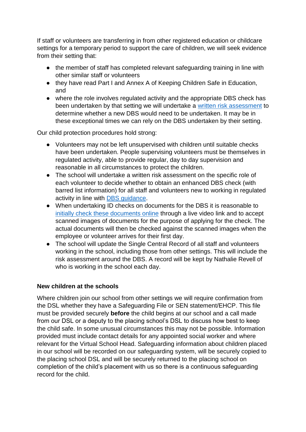If staff or volunteers are transferring in from other registered education or childcare settings for a temporary period to support the care of children, we will seek evidence from their setting that:

- the member of staff has completed relevant safeguarding training in line with other similar staff or volunteers
- they have read Part I and Annex A of Keeping Children Safe in Education, and
- where the role involves regulated activity and the appropriate DBS check has been undertaken by that setting we will undertake a [written risk assessment](https://www.saferrecruitmentconsortium.org/Risk%20Assessment%20for%20Volunteers%20PRINT%20VERSION%20Wardell%20Associates.docx) to determine whether a new DBS would need to be undertaken. It may be in these exceptional times we can rely on the DBS undertaken by their setting.

Our child protection procedures hold strong:

- Volunteers may not be left unsupervised with children until suitable checks have been undertaken. People supervising volunteers must be themselves in regulated activity, able to provide regular, day to day supervision and reasonable in all circumstances to protect the children.
- The school will undertake a written risk assessment on the specific role of each volunteer to decide whether to obtain an enhanced DBS check (with barred list information) for all staff and volunteers new to working in regulated activity in line with [DBS guidance.](https://www.gov.uk/government/collections/dbs-eligibility-guidance)
- When undertaking ID checks on documents for the DBS it is reasonable to [initially check these documents online](https://www.gov.uk/government/news/covid-19-changes-to-dbs-id-checking-guidelines) through a live video link and to accept scanned images of documents for the purpose of applying for the check. The actual documents will then be checked against the scanned images when the employee or volunteer arrives for their first day.
- The school will update the Single Central Record of all staff and volunteers working in the school, including those from other settings. This will include the risk assessment around the DBS. A record will be kept by Nathalie Revell of who is working in the school each day.

# **New children at the schools**

Where children join our school from other settings we will require confirmation from the DSL whether they have a Safeguarding File or SEN statement/EHCP. This file must be provided securely **before** the child begins at our school and a call made from our DSL or a deputy to the placing school's DSL to discuss how best to keep the child safe. In some unusual circumstances this may not be possible. Information provided must include contact details for any appointed social worker and where relevant for the Virtual School Head. Safeguarding information about children placed in our school will be recorded on our safeguarding system, will be securely copied to the placing school DSL and will be securely returned to the placing school on completion of the child's placement with us so there is a continuous safeguarding record for the child.